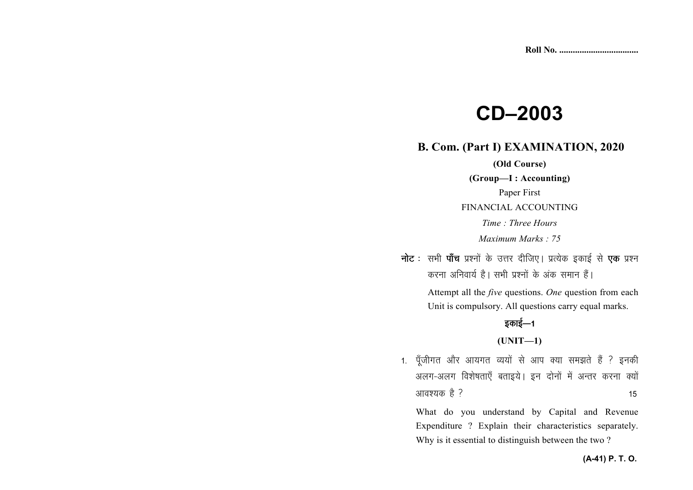# **CD–2003**

## **B. Com. (Part I) EXAMINATION, 2020**

**(Old Course) (Group—I : Accounting)** Paper FirstFINANCIAL ACCOUNTING *Time : Three Hours Maximum Marks : 75*

नोट : सभी पाँच प्रश्नों के उत्तर दीजिए। प्रत्येक इकाई से **एक** प्रश्न करना अनिवार्य है। सभी प्रश्नों के अंक समान हैं।

> Attempt all the *five* questions. *One* question from each Unit is compulsory. All questions carry equal marks.

## इकाई—1

### **(UNIT—1)**

1. पॅंजीगत और आयगत व्ययों से आप क्या समझते हैं ? इनकी अलग-अलग विशेषताएँ बताइये। इन दोनों में अन्तर करना क्यों आवश्यक है ? $\overline{\hspace{1.5cm}}$  31

What do you understand by Capital and Revenue Expenditure ? Explain their characteristics separately. Why is it essential to distinguish between the two ?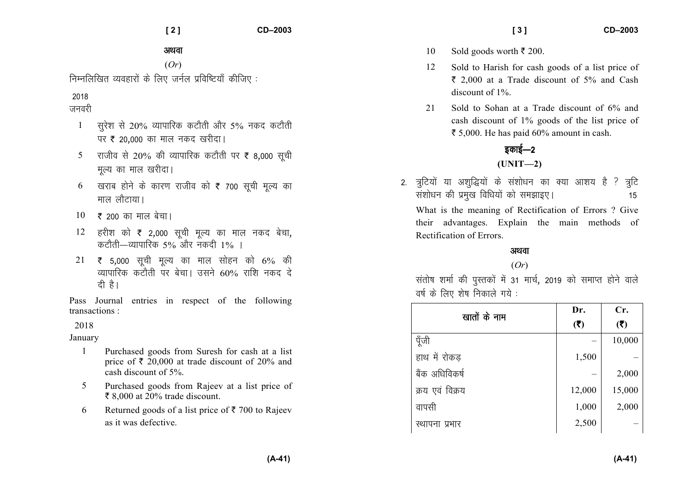(*Or*)

निम्नलिखित व्यवहारों के लिए जर्नल प्रविष्टियाँ कीजिए:

### 2018

### जनवरी

- l सुरेश से 20% व्यापारिक कटौती और 5% नकद कटौती<br>———————————————————— पर ₹ 20,000 का माल नकद खरीदा।
- $5$  ) राजीव से 20% की व्यापारिक कटौती पर ₹ 8,000 सूची मुल्य का माल खरीदा।
- $6$  ) खराब होने के कारण राजीव को ₹ 700 सूची मूल्य का माल लौटाया।
- 10 ₹ 200 का माल बेचा।
- 12 हरीश को **₹** 2,000 सूची मूल्य का माल नकद बेचा, कटौती—व्यापारिक 5% और नकदी 1% ।
- $21$  ₹ 5,000 सूची मूल्य का माल सोहन को 6% की व्यापारिक कटौती पर बेचा। उसने 60% राशि नकद दे<br><del>-0</del> \* दी है।

Pass Journal entries in respect of the following transactions :

2018

January

- 1 Purchased goods from Suresh for cash at a list price of  $\bar{\tau}$  20,000 at trade discount of 20% and cash discount of 5%.
- 5 Purchased goods from Rajeev at a list price of  $\bar{\xi}$  8,000 at 20% trade discount.
- 6 Returned goods of a list price of  $\bar{\tau}$  700 to Rajeev as it was defective.
- 10 Sold goods worth ₹ 200.
- 12 Sold to Harish for cash goods of a list price of  $\bar{\xi}$  2,000 at a Trade discount of 5% and Cash discount of 1%.
- 21 Sold to Sohan at a Trade discount of 6% and cash discount of 1% goods of the list price of $\bar{\xi}$  5,000. He has paid 60% amount in cash.

## डकाई $-2$ **(UNIT—2)**

2. त्रदियों या अशद्धियों के संशोधन का क्या आशय है ? त्रदि la'kks/ku dh izeq[k fof/k;ksa dks le>kb,A 15 What is the meaning of Rectification of Errors ? Give their advantages. Explain the main methods of Rectification of Errors.

### अथवा

### (*Or*)

संतोष शर्मा की पुस्तकों में 31 मार्च, 2019 को समाप्त होने वाले  $q$ वर्ष के लिए शेष निकाले गये:

| खातों के नाम    | Dr.    | Cr.    |
|-----------------|--------|--------|
|                 | (3)    | (3)    |
| पूँजी           |        | 10,000 |
| हाथ में रोकड़   | 1,500  |        |
| बैंक अधिविकर्ष  |        | 2,000  |
| क्रय एवं विक्रय | 12,000 | 15,000 |
| वापसी           | 1,000  | 2,000  |
| स्थापना प्रभार  | 2,500  |        |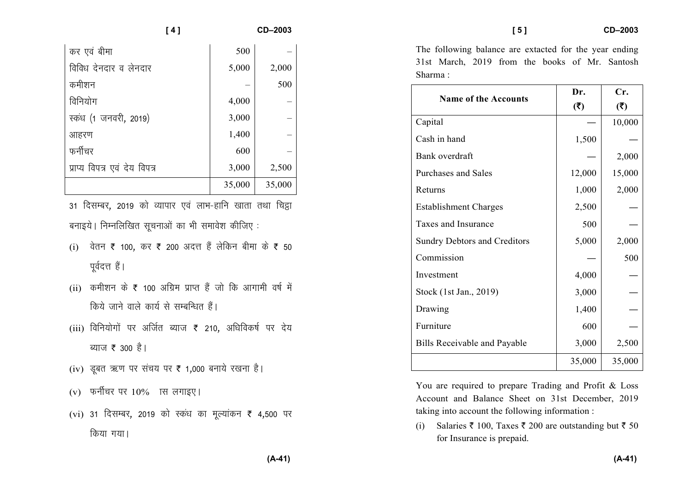| कर एवं बीमा                   | 500    |        |
|-------------------------------|--------|--------|
| विविध देनदार व लेनदार         | 5,000  | 2,000  |
| कमीशन                         |        | 500    |
| विनियोग                       | 4,000  |        |
| स्कंध (1 जनवरी, 2019)         | 3,000  |        |
| आहरण                          | 1,400  |        |
| फर्नीचर                       | 600    |        |
| प्राप्य विपत्र एवं देय विपत्र | 3,000  | 2,500  |
|                               | 35,000 | 35,000 |

31 दिसम्बर, 2019 को व्यापार एवं लाभ-हानि खाता तथा चिड़ा बनाइये | निम्नलिखित सूचनाओं का भी समावेश कीजिए:

- $(i)$  वेतन ₹ 100, कर ₹ 200 अदत्त हैं लेकिन बीमा के ₹ 50 पूर्वदत्त हैं।
- (ii) कमीशन के ₹ 100 अग्रिम प्राप्त हैं जो कि आगामी वर्ष में किये जाने वाले कार्य से सम्बन्धित हैं।
- (iii) विनियोगों पर अर्जित ब्याज  $\bar{\tau}$  210, अधिविकर्ष पर देय ब्याज  $\bar{\tau}$  300 है।
- (iv) डूबत ऋण पर संचय पर ₹ 1,000 बनाये रखना है।
- $(v)$  फर्नीचर पर 10% ास लगाइए।
- (vi) 31 दिसम्बर, 2019 को स्कंध का मुल्यांकन ₹ 4,500 पर

किया गया।

The following balance are extacted for the year ending 31st March, 2019 from the books of Mr. Santosh Sharma :

| <b>Name of the Accounts</b>         | Dr.    | Cr.    |
|-------------------------------------|--------|--------|
|                                     | (5)    | (5)    |
| Capital                             |        | 10,000 |
| Cash in hand                        | 1,500  |        |
| Bank overdraft                      |        | 2,000  |
| Purchases and Sales                 | 12,000 | 15,000 |
| Returns                             | 1,000  | 2,000  |
| <b>Establishment Charges</b>        | 2,500  |        |
| Taxes and Insurance                 | 500    |        |
| <b>Sundry Debtors and Creditors</b> | 5,000  | 2,000  |
| Commission                          |        | 500    |
| Investment                          | 4,000  |        |
| Stock (1st Jan., 2019)              | 3,000  |        |
| Drawing                             | 1,400  |        |
| Furniture                           | 600    |        |
| Bills Receivable and Payable        | 3,000  | 2,500  |
|                                     | 35,000 | 35,000 |

You are required to prepare Trading and Profit & Loss Account and Balance Sheet on 31st December, 2019 taking into account the following information :

(i) Salaries  $\bar{\tau}$  100, Taxes  $\bar{\tau}$  200 are outstanding but  $\bar{\tau}$  50 for Insurance is prepaid.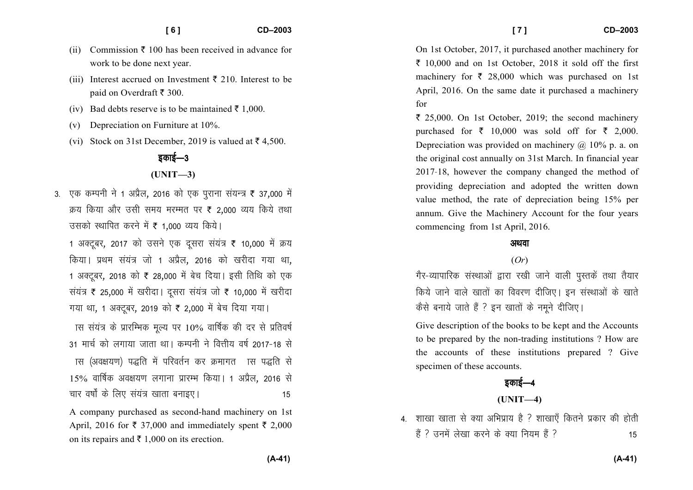- (ii) Commission  $\bar{\tau}$  100 has been received in advance for work to be done next year.
- (iii) Interest accrued on Investment  $\bar{\tau}$  210. Interest to be paid on Overdraft  $\bar{\tau}$  300.
- (iv) Bad debts reserve is to be maintained  $\bar{\tau}$  1,000.
- (v) Depreciation on Furniture at 10%.
- (vi) Stock on 31st December, 2019 is valued at  $\bar{\tau}$  4,500.

# डकाई—3

# **(UNIT—3)**

3. एक कम्पनी ने 1 अप्रैल, 2016 को एक पराना संयन्त्र ₹ 37,000 में क्रय किया और उसी समय मरम्मत पर ₹ 2,000 व्यय किये तथा उसको स्थापित करने में ₹ 1,000 व्यय किये।

1 अक्टूबर, 2017 को उसने एक दुसरा संयंत्र ₹ 10,000 में क्रय किया। प्रथम संयंत्र जो 1 अप्रैल, 2016 को खरीदा गया था, 1 अक्टबर, 2018 को ₹ 28,000 में बेच दिया। इसी तिथि को एक संयंत्र ₹ 25,000 में खरीदा। दसरा संयंत्र जो ₹ 10,000 में खरीदा गया था, 1 अक्टूबर, 2019 को ₹ 2,000 में बेच दिया गया।

ास संयंत्र के प्रारम्भिक मूल्य पर 10% वार्षिक की दर से प्रतिवर्ष 31 मार्च को लगाया जाता था। कम्पनी ने वित्तीय वर्ष 2017-18 से ास (अवक्षयण) पद्धति में परिवर्तन कर क्रमागत ास पद्धति से  $15\%$  वार्षिक अवक्षयण लगाना प्रारम्भ किया। 1 अप्रैल, 2016 से pkj o"kks± ds fy, la;a= [kkrk cukb,A 15

A company purchased as second-hand machinery on 1stApril, 2016 for  $\bar{\tau}$  37,000 and immediately spent  $\bar{\tau}$  2,000 on its repairs and  $\bar{\tau}$  1,000 on its erection.

On 1st October, 2017, it purchased another machinery for  $\bar{\tau}$  10,000 and on 1st October, 2018 it sold off the first machinery for  $\bar{\tau}$  28,000 which was purchased on 1st April, 2016. On the same date it purchased a machinery for

 $\bar{\xi}$  25,000. On 1st October, 2019; the second machinery purchased for  $\bar{\tau}$  10,000 was sold off for  $\bar{\tau}$  2,000. Depreciation was provided on machinery  $\omega$  10% p. a. on the original cost annually on 31st March. In financial year 2017-18, however the company changed the method of providing depreciation and adopted the written downvalue method, the rate of depreciation being 15% per annum. Give the Machinery Account for the four years commencing from 1st April, 2016.

### अथवा

### (*Or*)

गैर-व्यापारिक संस्थाओं द्वारा रखी जाने वाली पुस्तकें तथा तैयार किये जाने वाले खातों का विवरण दीजिए। इन संस्थाओं के खाते कैसे बनाये जाते हैं ? इन खातों के नमूने दीजिए।

Give description of the books to be kept and the Accounts to be prepared by the non-trading institutions ? How are the accounts of these institutions prepared ? Give specimen of these accounts.

### डकाई—4

### **(UNIT—4)**

4 - शाखा खाता से क्या अभिप्राय है ? शाखाएँ कितने प्रकार की होती हैं ? उनमें लेखा करने के क्या नियम हैं ?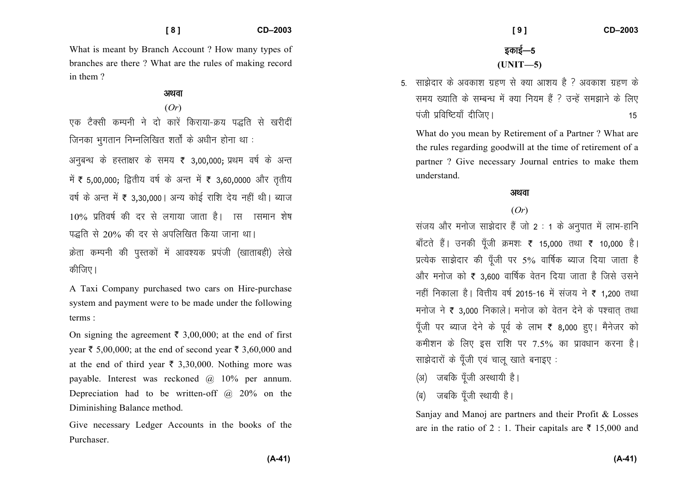What is meant by Branch Account ? How many types ofbranches are there ? What are the rules of making record in them ?

### अथवा

(*Or*)

एक टैक्सी कम्पनी ने दो कारें किराया-क्रय पद्धति से खरीदीं जिनका भुगतान निम्नलिखित शर्तों के अधीन होना था:

अनुबन्ध के हस्ताक्षर के समय **₹** 3,00,000; प्रथम वर्ष के अन्त में ₹ 5,00,000; द्वितीय वर्ष के अन्त में ₹ 3,60,0000 और तृतीय वर्ष के अन्त में **₹** 3,30,000 | अन्य कोई राशि देय नहीं थी | ब्याज  $10\%$  प्रतिवर्ष की दर से लगाया जाता है। एस. एसमान शेष पद्धति से 20% की दर से अपलिखित किया जाना था। क्रेता कम्पनी की पस्तकों में आवश्यक प्रपंजी (खाताबही) लेखे

कीजिए।

A Taxi Company purchased two cars on Hire-purchase system and payment were to be made under the following terms :

On signing the agreement  $\bar{\tau}$  3,00,000; at the end of first year ₹ 5,00,000; at the end of second year ₹ 3,60,000 and at the end of third year  $\bar{\tau}$  3,30,000. Nothing more was payable. Interest was reckoned @ 10% per annum. Depreciation had to be written-off  $\omega$  20% on the Diminishing Balance method.

Give necessary Ledger Accounts in the books of the Purchaser.

 **[ 9 ] CD–2003** 

5 - साझेदार के अवकाश ग्रहण से क्या आशय है ? अवकाश ग्रहण के समय ख्याति के सम्बन्ध में क्या नियम हैं ? उन्हें समझाने के लिए .<br>पंजी प्रविष्टियाँ दीजिए।

What do you mean by Retirement of a Partner ? What are the rules regarding goodwill at the time of retirement of a partner ? Give necessary Journal entries to make them understand.

#### अथवा

#### (*Or*)

संजय और मनोज साझेदार हैं जो 2:1 के अनुपात में लाभ-हानि बाँटते हैं। उनकी पूँजी क्रमशः ₹ 15,000 तथा ₹ 10,000 है। प्रत्येक साझेदार की पँजी पर 5% वार्षिक ब्याज दिया जाता है और मनोज को ₹ 3,600 वार्षिक वेतन दिया जाता है जिसे उसने नहीं निकाला है। वित्तीय वर्ष 2015-16 में संजय ने ₹ 1,200 तथा मनोज ने ₹ 3,000 निकाले। मनोज को वेतन देने के पश्चात् तथा पूँजी पर ब्याज देने के पूर्व के लाभ ₹ 8,000 हुए। मैनेजर को कमीशन के लिए इस राशि पर 7.5% का प्रावधान करना है। साझेदारों के पूँजी एवं चाल खाते बनाइए :

- (अ) जबकि पँजी अस्थायी है।
- $\sigma$ (ब) जबकि पँजी स्थायी है।

Sanjay and Manoj are partners and their Profit & Losses are in the ratio of 2 : 1. Their capitals are  $\bar{\tau}$  15,000 and